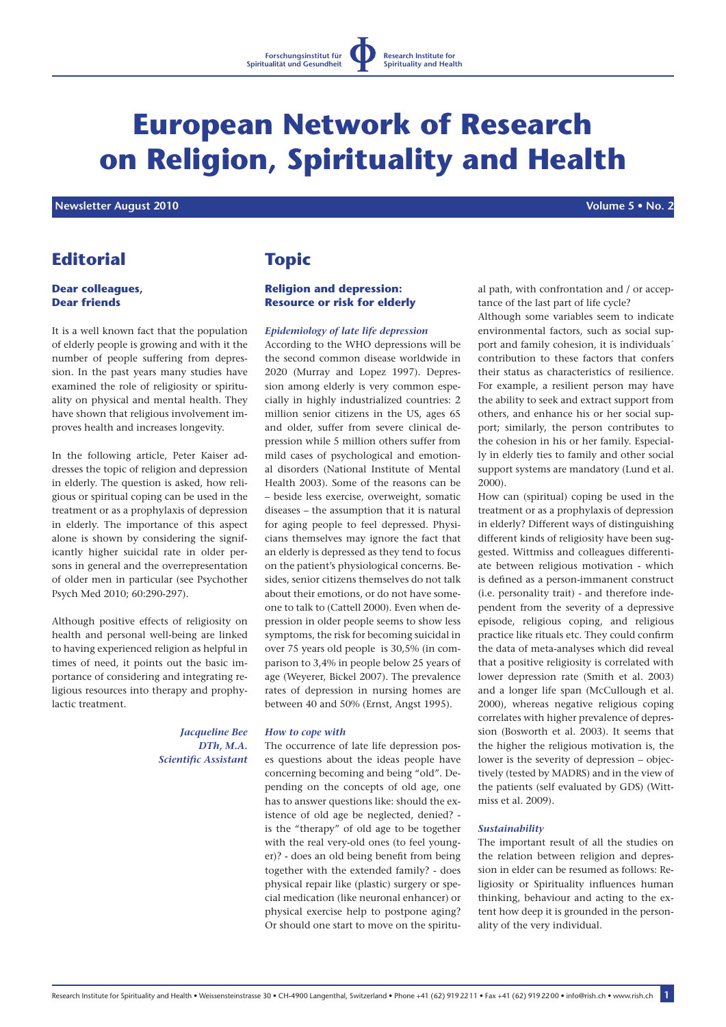

# **European Network of Research on Religion, Spirituality and Health**

 **Newsletter August 2010 Volume 5 • No. 2**

# **Editorial**

# **Dear colleagues, Dear friends**

It is a well known fact that the population of elderly people is growing and with it the number of people suffering from depression. In the past years many studies have examined the role of religiosity or spirituality on physical and mental health. They have shown that religious involvement improves health and increases longevity.

In the following article, Peter Kaiser addresses the topic of religion and depression in elderly. The question is asked, how religious or spiritual coping can be used in the treatment or as a prophylaxis of depression in elderly. The importance of this aspect alone is shown by considering the significantly higher suicidal rate in older persons in general and the overrepresentation of older men in particular (see Psychother Psych Med 2010; 60:290-297).

Although positive effects of religiosity on health and personal well-being are linked to having experienced religion as helpful in times of need, it points out the basic importance of considering and integrating religious resources into therapy and prophylactic treatment.

> *Jacqueline Bee DTh, M.A. Scientific Assistant*

# **Topic**

# **Religion and depression: Resource or risk for elderly**

## *Epidemiology of late life depression*

According to the WHO depressions will be the second common disease worldwide in 2020 (Murray and Lopez 1997). Depression among elderly is very common especially in highly industrialized countries: 2 million senior citizens in the US, ages 65 and older, suffer from severe clinical depression while 5 million others suffer from mild cases of psychological and emotional disorders (National Institute of Mental Health 2003). Some of the reasons can be – beside less exercise, overweight, somatic diseases – the assumption that it is natural for aging people to feel depressed. Physicians themselves may ignore the fact that an elderly is depressed as they tend to focus on the patient's physiological concerns. Besides, senior citizens themselves do not talk about their emotions, or do not have someone to talk to (Cattell 2000). Even when depression in older people seems to show less symptoms, the risk for becoming suicidal in over 75 years old people is 30,5% (in comparison to 3,4% in people below 25 years of age (Weyerer, Bickel 2007). The prevalence rates of depression in nursing homes are between 40 and 50% (Ernst, Angst 1995).

## *How to cope with*

The occurrence of late life depression poses questions about the ideas people have concerning becoming and being "old". Depending on the concepts of old age, one has to answer questions like: should the existence of old age be neglected, denied? is the "therapy" of old age to be together with the real very-old ones (to feel younger)? - does an old being benefit from being together with the extended family? - does physical repair like (plastic) surgery or special medication (like neuronal enhancer) or physical exercise help to postpone aging? Or should one start to move on the spiritual path, with confrontation and / or acceptance of the last part of life cycle?

Although some variables seem to indicate environmental factors, such as social support and family cohesion, it is individuals´ contribution to these factors that confers their status as characteristics of resilience. For example, a resilient person may have the ability to seek and extract support from others, and enhance his or her social support; similarly, the person contributes to the cohesion in his or her family. Especially in elderly ties to family and other social support systems are mandatory (Lund et al. 2000).

How can (spiritual) coping be used in the treatment or as a prophylaxis of depression in elderly? Different ways of distinguishing different kinds of religiosity have been suggested. Wittmiss and colleagues differentiate between religious motivation - which is defined as a person-immanent construct (i.e. personality trait) - and therefore independent from the severity of a depressive episode, religious coping, and religious practice like rituals etc. They could confirm the data of meta-analyses which did reveal that a positive religiosity is correlated with lower depression rate (Smith et al. 2003) and a longer life span (McCullough et al. 2000), whereas negative religious coping correlates with higher prevalence of depression (Bosworth et al. 2003). It seems that the higher the religious motivation is, the lower is the severity of depression – objectively (tested by MADRS) and in the view of the patients (self evaluated by GDS) (Wittmiss et al. 2009).

## *Sustainability*

The important result of all the studies on the relation between religion and depression in elder can be resumed as follows: Religiosity or Spirituality influences human thinking, behaviour and acting to the extent how deep it is grounded in the personality of the very individual.